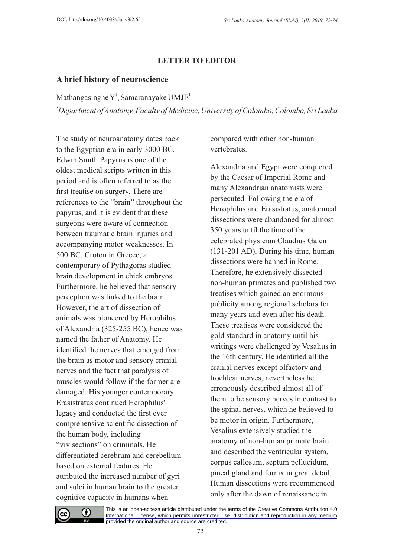## **LETTER TO EDITOR**

## **A brief history of neuroscience**

Mathangasinghe  $Y<sup>1</sup>$ , Samaranayake UMJE<sup>1</sup>

*<sup>1</sup>Department of Anatomy, Faculty of Medicine, University of Colombo, Colombo, Sri Lanka*

The study of neuroanatomy dates back to the Egyptian era in early 3000 BC. Edwin Smith Papyrus is one of the oldest medical scripts written in this period and is often referred to as the first treatise on surgery. There are references to the "brain" throughout the papyrus, and it is evident that these surgeons were aware of connection between traumatic brain injuries and accompanying motor weaknesses. In 500 BC, Croton in Greece, a contemporary of Pythagoras studied brain development in chick embryos. Furthermore, he believed that sensory perception was linked to the brain. However, the art of dissection of animals was pioneered by Herophilus of Alexandria (325-255 BC), hence was named the father of Anatomy. He identified the nerves that emerged from the brain as motor and sensory cranial nerves and the fact that paralysis of muscles would follow if the former are damaged. His younger contemporary Erasistratus continued Herophilus' legacy and conducted the first ever comprehensive scientific dissection of the human body, including "vivisections" on criminals. He differentiated cerebrum and cerebellum based on external features. He attributed the increased number of gyri and sulci in human brain to the greater cognitive capacity in humans when

compared with other non-human vertebrates.

Alexandria and Egypt were conquered by the Caesar of Imperial Rome and many Alexandrian anatomists were persecuted. Following the era of Herophilus and Erasistratus, anatomical dissections were abandoned for almost 350 years until the time of the celebrated physician Claudius Galen (131-201 AD). During his time, human dissections were banned in Rome. Therefore, he extensively dissected non-human primates and published two treatises which gained an enormous publicity among regional scholars for many years and even after his death. These treatises were considered the gold standard in anatomy until his writings were challenged by Vesalius in the 16th century. He identified all the cranial nerves except olfactory and trochlear nerves, nevertheless he erroneously described almost all of them to be sensory nerves in contrast to the spinal nerves, which he believed to be motor in origin. Furthermore, Vesalius extensively studied the anatomy of non-human primate brain and described the ventricular system, corpus callosum, septum pellucidum, pineal gland and fornix in great detail. Human dissections were recommenced only after the dawn of renaissance in



[This is an open-access article distributed under the terms of the Creative Commons Attribution 4.0](https://creativecommons.org/licenses/by/4.0/)  International License, which permits unrestricted use, distribution and reproduction in any medium provided the original author and source are credited.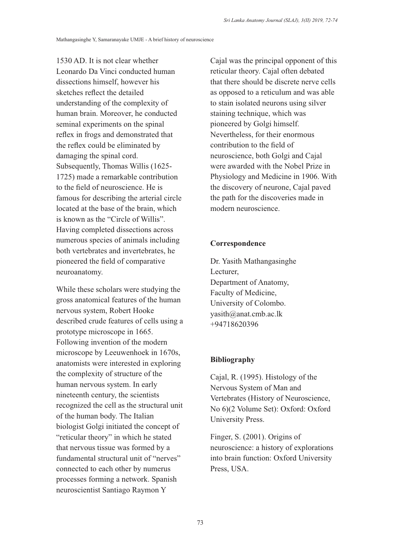1530 AD. It is not clear whether Leonardo Da Vinci conducted human dissections himself, however his sketches reflect the detailed understanding of the complexity of human brain. Moreover, he conducted seminal experiments on the spinal reflex in frogs and demonstrated that the reflex could be eliminated by damaging the spinal cord. Subsequently, Thomas Willis (1625- 1725) made a remarkable contribution to the field of neuroscience. He is famous for describing the arterial circle located at the base of the brain, which is known as the "Circle of Willis". Having completed dissections across numerous species of animals including both vertebrates and invertebrates, he pioneered the field of comparative neuroanatomy.

While these scholars were studying the gross anatomical features of the human nervous system, Robert Hooke described crude features of cells using a prototype microscope in 1665. Following invention of the modern microscope by Leeuwenhoek in 1670s, anatomists were interested in exploring the complexity of structure of the human nervous system. In early nineteenth century, the scientists recognized the cell as the structural unit of the human body. The Italian biologist Golgi initiated the concept of "reticular theory" in which he stated that nervous tissue was formed by a fundamental structural unit of "nerves" connected to each other by numerus processes forming a network. Spanish neuroscientist Santiago Raymon Y

Cajal was the principal opponent of this reticular theory. Cajal often debated that there should be discrete nerve cells as opposed to a reticulum and was able to stain isolated neurons using silver staining technique, which was pioneered by Golgi himself. Nevertheless, for their enormous contribution to the field of neuroscience, both Golgi and Cajal were awarded with the Nobel Prize in Physiology and Medicine in 1906. With the discovery of neurone, Cajal paved the path for the discoveries made in modern neuroscience.

## **Correspondence**

Dr. Yasith Mathangasinghe Lecturer, Department of Anatomy, Faculty of Medicine, University of Colombo. yasith@anat.cmb.ac.lk +94718620396

## **Bibliography**

Cajal, R. (1995). Histology of the Nervous System of Man and Vertebrates (History of Neuroscience, No 6)(2 Volume Set): Oxford: Oxford University Press.

Finger, S. (2001). Origins of neuroscience: a history of explorations into brain function: Oxford University Press, USA.